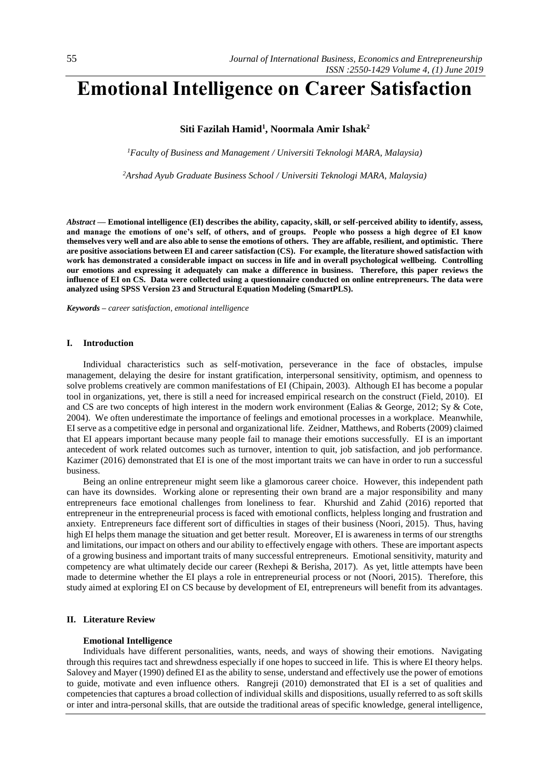# **Emotional Intelligence on Career Satisfaction**

# **Siti Fazilah Hamid<sup>1</sup> , Noormala Amir Ishak<sup>2</sup>**

*<sup>1</sup>Faculty of Business and Management / Universiti Teknologi MARA, Malaysia)*

*<sup>2</sup>Arshad Ayub Graduate Business School / Universiti Teknologi MARA, Malaysia)*

*Abstract —* **Emotional intelligence (EI) describes the ability, capacity, skill, or self-perceived ability to identify, assess, and manage the emotions of one's self, of others, and of groups. People who possess a high degree of EI know themselves very well and are also able to sense the emotions of others. They are affable, resilient, and optimistic. There are positive associations between EI and career satisfaction (CS). For example, the literature showed satisfaction with work has demonstrated a considerable impact on success in life and in overall psychological wellbeing. Controlling our emotions and expressing it adequately can make a difference in business. Therefore, this paper reviews the influence of EI on CS. Data were collected using a questionnaire conducted on online entrepreneurs. The data were analyzed using SPSS Version 23 and Structural Equation Modeling (SmartPLS).** 

*Keywords – career satisfaction, emotional intelligence* 

## **I. Introduction**

Individual characteristics such as self-motivation, perseverance in the face of obstacles, impulse management, delaying the desire for instant gratification, interpersonal sensitivity, optimism, and openness to solve problems creatively are common manifestations of EI [\(Chipain, 2003\)](#page-7-0). Although EI has become a popular tool in organizations, yet, there is still a need for increased empirical research on the construct [\(Field, 2010\)](#page-7-1). EI and CS are two concepts of high interest in the modern work environment [\(Ealias & George, 2012;](#page-7-2) [Sy & Cote,](#page-8-0)  [2004\)](#page-8-0). We often underestimate the importance of feelings and emotional processes in a workplace. Meanwhile, EI serve as a competitive edge in personal and organizational life. [Zeidner, Matthews, and Roberts](#page-8-1) (2009) claimed that EI appears important because many people fail to manage their emotions successfully. EI is an important antecedent of work related outcomes such as turnover, intention to quit, job satisfaction, and job performance. [Kazimer \(2016\)](#page-7-3) demonstrated that EI is one of the most important traits we can have in order to run a successful business.

Being an online entrepreneur might seem like a glamorous career choice. However, this independent path can have its downsides. Working alone or representing their own brand are a major responsibility and many entrepreneurs face emotional challenges from loneliness to fear. [Khurshid and Zahid \(2016\)](#page-7-4) reported that entrepreneur in the entrepreneurial process is faced with emotional conflicts, helpless longing and frustration and anxiety. Entrepreneurs face different sort of difficulties in stages of their business [\(Noori, 2015\)](#page-7-5). Thus, having high EI helps them manage the situation and get better result. Moreover, EI is awareness in terms of our strengths and limitations, our impact on others and our ability to effectively engage with others. These are important aspects of a growing business and important traits of many successful entrepreneurs. Emotional sensitivity, maturity and competency are what ultimately decide our career [\(Rexhepi & Berisha, 2017\)](#page-8-2). As yet, little attempts have been made to determine whether the EI plays a role in entrepreneurial process or not [\(Noori, 2015\)](#page-7-5). Therefore, this study aimed at exploring EI on CS because by development of EI, entrepreneurs will benefit from its advantages.

## **II. Literature Review**

#### **Emotional Intelligence**

Individuals have different personalities, wants, needs, and ways of showing their emotions. Navigating through this requires tact and shrewdness especially if one hopes to succeed in life. This is where EI theory helps. [Salovey and Mayer \(1990\)](#page-8-3) defined EI as the ability to sense, understand and effectively use the power of emotions to guide, motivate and even influence others. [Rangreji \(2010\)](#page-8-4) demonstrated that EI is a set of qualities and competencies that captures a broad collection of individual skills and dispositions, usually referred to as soft skills or inter and intra-personal skills, that are outside the traditional areas of specific knowledge, general intelligence,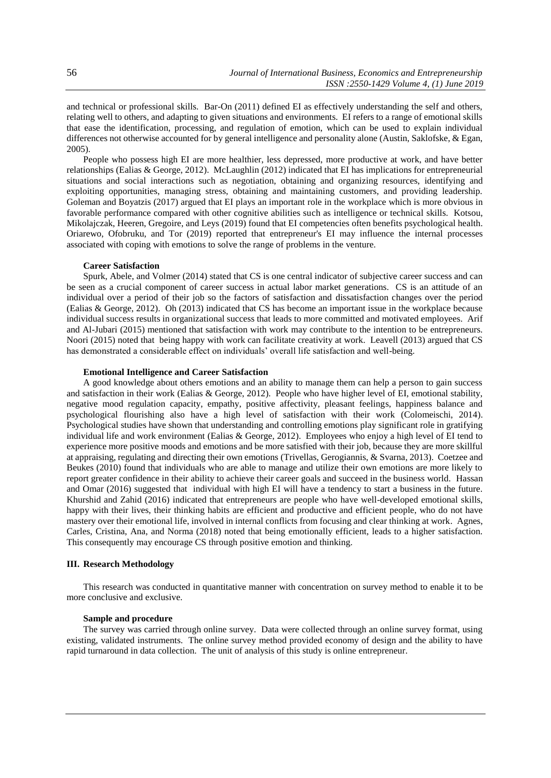and technical or professional skills. [Bar-On \(2011\)](#page-7-6) defined EI as effectively understanding the self and others, relating well to others, and adapting to given situations and environments. EI refers to a range of emotional skills that ease the identification, processing, and regulation of emotion, which can be used to explain individual differences not otherwise accounted for by general intelligence and personality alone [\(Austin, Saklofske, & Egan,](#page-7-7)  [2005\)](#page-7-7).

People who possess high EI are more healthier, less depressed, more productive at work, and have better relationships [\(Ealias & George, 2012\)](#page-7-2). [McLaughlin \(2012\)](#page-7-8) indicated that EI has implications for entrepreneurial situations and social interactions such as negotiation, obtaining and organizing resources, identifying and exploiting opportunities, managing stress, obtaining and maintaining customers, and providing leadership. [Goleman and Boyatzis \(2017\)](#page-7-9) argued that EI plays an important role in the workplace which is more obvious in favorable performance compared with other cognitive abilities such as intelligence or technical skills. [Kotsou,](#page-7-10)  Mikolajczak, Heeren, Gregoire, and Leys (2019) found that EI competencies often benefits psychological health. [Oriarewo, Ofobruku, and Tor \(2019\)](#page-8-5) reported that entrepreneur's EI may influence the internal processes associated with coping with emotions to solve the range of problems in the venture.

## **Career Satisfaction**

[Spurk, Abele, and Volmer \(2014\)](#page-8-6) stated that CS is one central indicator of subjective career success and can be seen as a crucial component of career success in actual labor market generations. CS is an attitude of an individual over a period of their job so the factors of satisfaction and dissatisfaction changes over the period [\(Ealias & George, 2012\)](#page-7-2). [Oh \(2013\)](#page-7-11) indicated that CS has become an important issue in the workplace because individual success results in organizational success that leads to more committed and motivated employees. [Arif](#page-7-12)  and Al-Jubari (2015) mentioned that satisfaction with work may contribute to the intention to be entrepreneurs. [Noori \(2015\)](#page-7-5) noted that being happy with work can facilitate creativity at work. [Leavell \(2013\)](#page-7-13) argued that CS has demonstrated a considerable effect on individuals' overall life satisfaction and well-being.

## **Emotional Intelligence and Career Satisfaction**

A good knowledge about others emotions and an ability to manage them can help a person to gain success and satisfaction in their work [\(Ealias & George, 2012\)](#page-7-2). People who have higher level of EI, emotional stability, negative mood regulation capacity, empathy, positive affectivity, pleasant feelings, happiness balance and psychological flourishing also have a high level of satisfaction with their work [\(Colomeischi, 2014\)](#page-7-14). Psychological studies have shown that understanding and controlling emotions play significant role in gratifying individual life and work environment [\(Ealias & George, 2012\)](#page-7-2). Employees who enjoy a high level of EI tend to experience more positive moods and emotions and be more satisfied with their job, because they are more skillful at appraising, regulating and directing their own emotions [\(Trivellas, Gerogiannis, & Svarna, 2013\)](#page-8-7). [Coetzee and](#page-7-15)  Beukes (2010) found that individuals who are able to manage and utilize their own emotions are more likely to report greater confidence in their ability to achieve their career goals and succeed in the business world. [Hassan](#page-7-16)  and Omar (2016) suggested that individual with high EI will have a tendency to start a business in the future. [Khurshid and Zahid \(2016\)](#page-7-4) indicated that entrepreneurs are people who have well-developed emotional skills, happy with their lives, their thinking habits are efficient and productive and efficient people, who do not have mastery over their emotional life, involved in internal conflicts from focusing and clear thinking at work. [Agnes,](#page-7-17)  Carles, Cristina, Ana, and Norma (2018) noted that being emotionally efficient, leads to a higher satisfaction. This consequently may encourage CS through positive emotion and thinking.

## **III. Research Methodology**

This research was conducted in quantitative manner with concentration on survey method to enable it to be more conclusive and exclusive.

#### **Sample and procedure**

The survey was carried through online survey. Data were collected through an online survey format, using existing, validated instruments. The online survey method provided economy of design and the ability to have rapid turnaround in data collection. The unit of analysis of this study is online entrepreneur.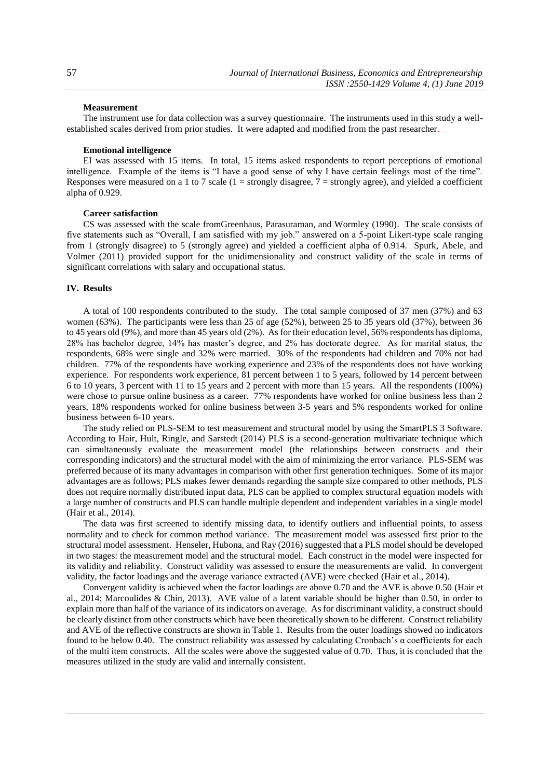#### **Measurement**

The instrument use for data collection was a survey questionnaire. The instruments used in this study a wellestablished scales derived from prior studies. It were adapted and modified from the past researcher.

### **Emotional intelligence**

EI was assessed with 15 items. In total, 15 items asked respondents to report perceptions of emotional intelligence. Example of the items is "I have a good sense of why I have certain feelings most of the time". Responses were measured on a 1 to 7 scale (1 = strongly disagree,  $7$  = strongly agree), and yielded a coefficient alpha of 0.929.

#### **Career satisfaction**

CS was assessed with the scale fro[mGreenhaus, Parasuraman, and Wormley \(1990\).](#page-7-18) The scale consists of five statements such as "Overall, I am satisfied with my job." answered on a 5-point Likert-type scale ranging from 1 (strongly disagree) to 5 (strongly agree) and yielded a coefficient alpha of 0.914. [Spurk, Abele, and](#page-8-8)  Volmer (2011) provided support for the unidimensionality and construct validity of the scale in terms of significant correlations with salary and occupational status.

## **IV. Results**

A total of 100 respondents contributed to the study. The total sample composed of 37 men (37%) and 63 women (63%). The participants were less than 25 of age (52%), between 25 to 35 years old (37%), between 36 to 45 years old (9%), and more than 45 years old (2%). As for their education level, 56% respondents has diploma, 28% has bachelor degree, 14% has master's degree, and 2% has doctorate degree. As for marital status, the respondents, 68% were single and 32% were married. 30% of the respondents had children and 70% not had children. 77% of the respondents have working experience and 23% of the respondents does not have working experience. For respondents work experience, 81 percent between 1 to 5 years, followed by 14 percent between 6 to 10 years, 3 percent with 11 to 15 years and 2 percent with more than 15 years. All the respondents (100%) were chose to pursue online business as a career. 77% respondents have worked for online business less than 2 years, 18% respondents worked for online business between 3-5 years and 5% respondents worked for online business between 6-10 years.

The study relied on PLS-SEM to test measurement and structural model by using the SmartPLS 3 Software. According to [Hair, Hult, Ringle, and Sarstedt \(2014\)](#page-7-19) PLS is a second-generation multivariate technique which can simultaneously evaluate the measurement model (the relationships between constructs and their corresponding indicators) and the structural model with the aim of minimizing the error variance. PLS-SEM was preferred because of its many advantages in comparison with other first generation techniques. Some of its major advantages are as follows; PLS makes fewer demands regarding the sample size compared to other methods, PLS does not require normally distributed input data, PLS can be applied to complex structural equation models with a large number of constructs and PLS can handle multiple dependent and independent variables in a single model [\(Hair et al., 2014\)](#page-7-19).

The data was first screened to identify missing data, to identify outliers and influential points, to assess normality and to check for common method variance. The measurement model was assessed first prior to the structural model assessment. [Henseler, Hubona, and Ray \(2016\)](#page-7-20) suggested that a PLS model should be developed in two stages: the measurement model and the structural model. Each construct in the model were inspected for its validity and reliability. Construct validity was assessed to ensure the measurements are valid. In convergent validity, the factor loadings and the average variance extracted (AVE) were checked [\(Hair et al., 2014\)](#page-7-19).

Convergent validity is achieved when the factor loadings are above 0.70 and the AVE is above 0.50 [\(Hair et](#page-7-19)  [al., 2014;](#page-7-19) [Marcoulides & Chin, 2013\)](#page-7-21). AVE value of a latent variable should be higher than 0.50, in order to explain more than half of the variance of its indicators on average. As for discriminant validity, a construct should be clearly distinct from other constructs which have been theoretically shown to be different. Construct reliability and AVE of the reflective constructs are shown in Table 1. Results from the outer loadings showed no indicators found to be below 0.40. The construct reliability was assessed by calculating Cronbach's  $\alpha$  coefficients for each of the multi item constructs. All the scales were above the suggested value of 0.70. Thus, it is concluded that the measures utilized in the study are valid and internally consistent.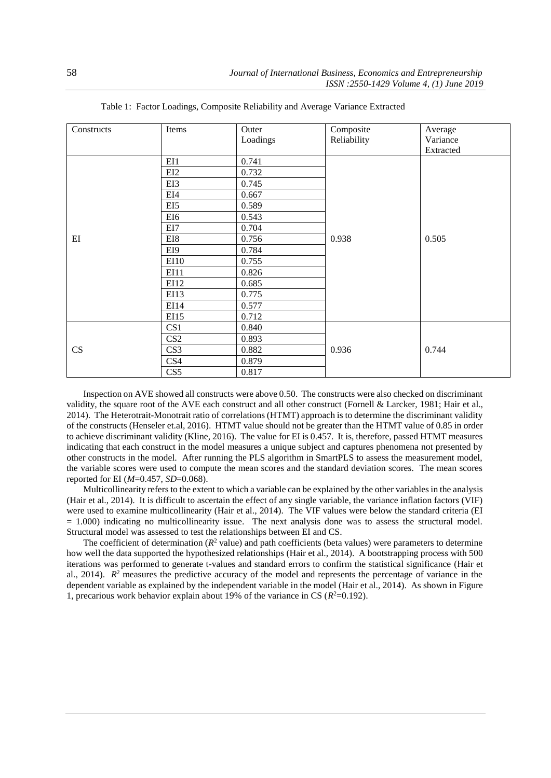| Constructs | Items             | Outer    | Composite   | Average   |
|------------|-------------------|----------|-------------|-----------|
|            |                   | Loadings | Reliability | Variance  |
|            |                   |          |             | Extracted |
| EI         | EI1               | 0.741    |             |           |
|            | EI2               | 0.732    |             |           |
|            | EI3               | 0.745    |             |           |
|            | EI4               | 0.667    |             |           |
|            | EI5               | 0.589    |             |           |
|            | EI6               | 0.543    |             |           |
|            | EI7               | 0.704    |             |           |
|            | EI8               | 0.756    | 0.938       | 0.505     |
|            | EI9               | 0.784    |             |           |
|            | E <sub>I</sub> 10 | 0.755    |             |           |
|            | EI11              | 0.826    |             |           |
|            | EI12              | 0.685    |             |           |
|            | EI13              | 0.775    |             |           |
|            | EI14              | 0.577    |             |           |
|            | EI15              | 0.712    |             |           |
| CS         | CS <sub>1</sub>   | 0.840    |             |           |
|            | CS <sub>2</sub>   | 0.893    |             |           |
|            | CS <sub>3</sub>   | 0.882    | 0.936       | 0.744     |
|            | CS4               | 0.879    |             |           |
|            | CS5               | 0.817    |             |           |

Table 1: Factor Loadings, Composite Reliability and Average Variance Extracted

Inspection on AVE showed all constructs were above 0.50. The constructs were also checked on discriminant validity, the square root of the AVE each construct and all other construct [\(Fornell & Larcker, 1981;](#page-7-22) [Hair et al.,](#page-7-19)  [2014\)](#page-7-19). The Heterotrait-Monotrait ratio of correlations (HTMT) approach is to determine the discriminant validity of the constructs (Henseler et.al, 2016). HTMT value should not be greater than the HTMT value of 0.85 in order to achieve discriminant validity [\(Kline, 2016\)](#page-7-23). The value for EI is 0.457. It is, therefore, passed HTMT measures indicating that each construct in the model measures a unique subject and captures phenomena not presented by other constructs in the model. After running the PLS algorithm in SmartPLS to assess the measurement model, the variable scores were used to compute the mean scores and the standard deviation scores. The mean scores reported for EI (*M*=0.457, *SD*=0.068).

Multicollinearity refers to the extent to which a variable can be explained by the other variables in the analysis [\(Hair et al., 2014\)](#page-7-19). It is difficult to ascertain the effect of any single variable, the variance inflation factors (VIF) were used to examine multicollinearity [\(Hair et al., 2014\)](#page-7-19). The VIF values were below the standard criteria (EI  $= 1.000$ ) indicating no multicollinearity issue. The next analysis done was to assess the structural model. Structural model was assessed to test the relationships between EI and CS.

The coefficient of determination  $(R^2$  value) and path coefficients (beta values) were parameters to determine how well the data supported the hypothesized relationships [\(Hair et al., 2014\)](#page-7-19). A bootstrapping process with 500 iterations was performed to generate t-values and standard errors to confirm the statistical significance [\(Hair et](#page-7-19)  [al., 2014\)](#page-7-19).  $R<sup>2</sup>$  measures the predictive accuracy of the model and represents the percentage of variance in the dependent variable as explained by the independent variable in the model [\(Hair et al., 2014\)](#page-7-19). As shown in Figure 1, precarious work behavior explain about 19% of the variance in CS  $(R<sup>2</sup>=0.192)$ .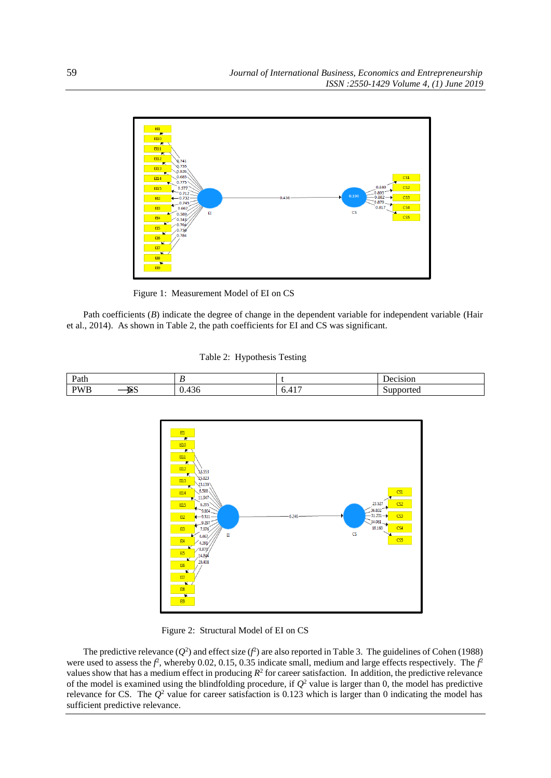

Figure 1: Measurement Model of EI on CS

Path coefficients (*B*) indicate the degree of change in the dependent variable for independent variable (Hair [et al., 2014\)](#page-7-19). As shown in Table 2, the path coefficients for EI and CS was significant.

Table 2: Hypothesis Testing





Figure 2: Structural Model of EI on CS

The predictive relevance  $(Q^2)$  and effect size  $(f^2)$  are also reported in Table 3. The guidelines o[f Cohen \(1988\)](#page-7-24) were used to assess the  $f^2$ , whereby 0.02, 0.15, 0.35 indicate small, medium and large effects respectively. The  $f^2$ values show that has a medium effect in producing  $R^2$  for career satisfaction. In addition, the predictive relevance of the model is examined using the blindfolding procedure, if  $Q^2$  value is larger than 0, the model has predictive relevance for CS. The *Q*<sup>2</sup> value for career satisfaction is 0.123 which is larger than 0 indicating the model has sufficient predictive relevance.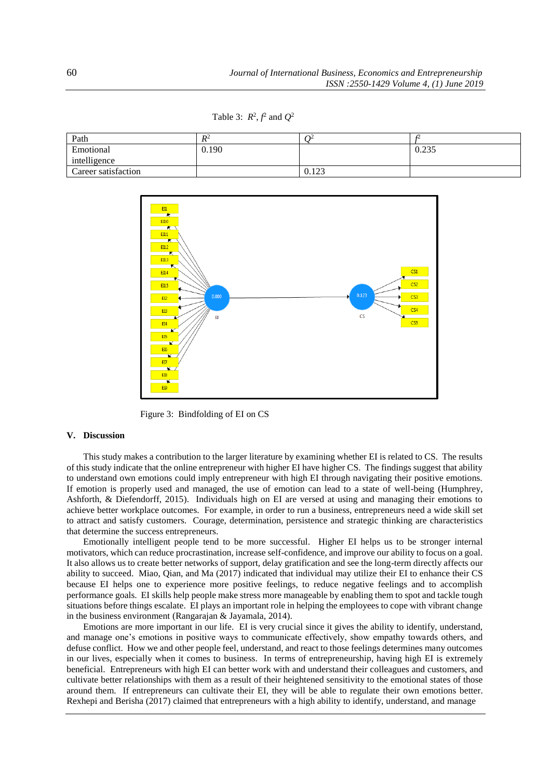Table 3:  $R^2$ ,  $\hat{f}$  and  $Q^2$ 

| Path                | $R^2$ | ገ∠    | ⊷     |
|---------------------|-------|-------|-------|
| Emotional           | 0.190 |       | 0.235 |
| intelligence        |       |       |       |
| Career satisfaction |       | 0.123 |       |



Figure 3: Bindfolding of EI on CS

#### **V. Discussion**

This study makes a contribution to the larger literature by examining whether EI is related to CS. The results of this study indicate that the online entrepreneur with higher EI have higher CS. The findings suggest that ability to understand own emotions could imply entrepreneur with high EI through navigating their positive emotions. If emotion is properly used and managed, the use of emotion can lead to a state of well-being [\(Humphrey,](#page-7-25)  [Ashforth, & Diefendorff, 2015\)](#page-7-25). Individuals high on EI are versed at using and managing their emotions to achieve better workplace outcomes. For example, in order to run a business, entrepreneurs need a wide skill set to attract and satisfy customers. Courage, determination, persistence and strategic thinking are characteristics that determine the success entrepreneurs.

Emotionally intelligent people tend to be more successful. Higher EI helps us to be stronger internal motivators, which can reduce procrastination, increase self-confidence, and improve our ability to focus on a goal. It also allows us to create better networks of support, delay gratification and see the long-term directly affects our ability to succeed. [Miao, Qian, and Ma \(2017\)](#page-7-26) indicated that individual may utilize their EI to enhance their CS because EI helps one to experience more positive feelings, to reduce negative feelings and to accomplish performance goals. EI skills help people make stress more manageable by enabling them to spot and tackle tough situations before things escalate. EI plays an important role in helping the employees to cope with vibrant change in the business environment [\(Rangarajan & Jayamala, 2014\)](#page-8-9).

Emotions are more important in our life. EI is very crucial since it gives the ability to identify, understand, and manage one's emotions in positive ways to communicate effectively, show empathy towards others, and defuse conflict. How we and other people feel, understand, and react to those feelings determines many outcomes in our lives, especially when it comes to business. In terms of entrepreneurship, having high EI is extremely beneficial. Entrepreneurs with high EI can better work with and understand their colleagues and customers, and cultivate better relationships with them as a result of their heightened sensitivity to the emotional states of those around them. If entrepreneurs can cultivate their EI, they will be able to regulate their own emotions better. [Rexhepi and Berisha \(2017\)](#page-8-2) claimed that entrepreneurs with a high ability to identify, understand, and manage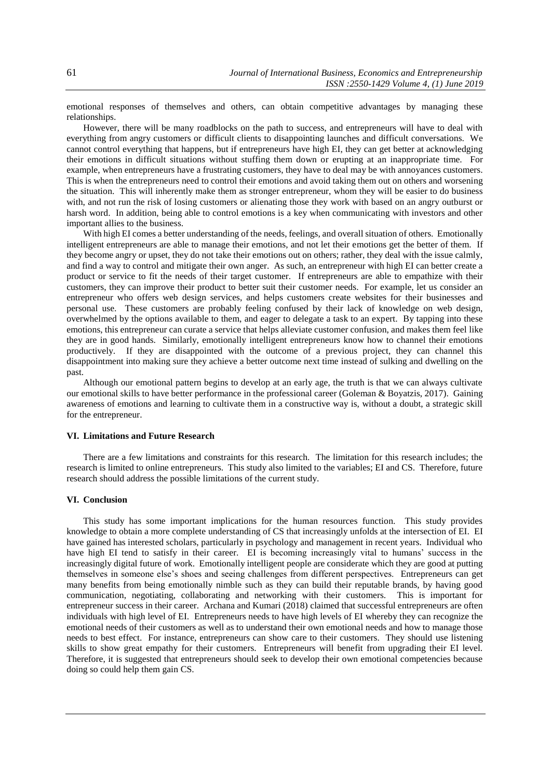emotional responses of themselves and others, can obtain competitive advantages by managing these relationships.

However, there will be many roadblocks on the path to success, and entrepreneurs will have to deal with everything from angry customers or difficult clients to disappointing launches and difficult conversations. We cannot control everything that happens, but if entrepreneurs have high EI, they can get better at acknowledging their emotions in difficult situations without stuffing them down or erupting at an inappropriate time. For example, when entrepreneurs have a frustrating customers, they have to deal may be with annoyances customers. This is when the entrepreneurs need to control their emotions and avoid taking them out on others and worsening the situation. This will inherently make them as stronger entrepreneur, whom they will be easier to do business with, and not run the risk of losing customers or alienating those they work with based on an angry outburst or harsh word. In addition, being able to control emotions is a key when communicating with investors and other important allies to the business.

With high EI comes a better understanding of the needs, feelings, and overall situation of others. Emotionally intelligent entrepreneurs are able to manage their emotions, and not let their emotions get the better of them. If they become angry or upset, they do not take their emotions out on others; rather, they deal with the issue calmly, and find a way to control and mitigate their own anger. As such, an entrepreneur with high EI can better create a product or service to fit the needs of their target customer. If entrepreneurs are able to empathize with their customers, they can improve their product to better suit their customer needs. For example, let us consider an entrepreneur who offers web design services, and helps customers create websites for their businesses and personal use. These customers are probably feeling confused by their lack of knowledge on web design, overwhelmed by the options available to them, and eager to delegate a task to an expert. By tapping into these emotions, this entrepreneur can curate a service that helps alleviate customer confusion, and makes them feel like they are in good hands. Similarly, emotionally intelligent entrepreneurs know how to channel their emotions productively. If they are disappointed with the outcome of a previous project, they can channel this disappointment into making sure they achieve a better outcome next time instead of sulking and dwelling on the past.

Although our emotional pattern begins to develop at an early age, the truth is that we can always cultivate our emotional skills to have better performance in the professional career [\(Goleman & Boyatzis, 2017\)](#page-7-9). Gaining awareness of emotions and learning to cultivate them in a constructive way is, without a doubt, a strategic skill for the entrepreneur.

## **VI. Limitations and Future Research**

There are a few limitations and constraints for this research. The limitation for this research includes; the research is limited to online entrepreneurs. This study also limited to the variables; EI and CS. Therefore, future research should address the possible limitations of the current study.

## **VI. Conclusion**

This study has some important implications for the human resources function. This study provides knowledge to obtain a more complete understanding of CS that increasingly unfolds at the intersection of EI. EI have gained has interested scholars, particularly in psychology and management in recent years. Individual who have high EI tend to satisfy in their career. EI is becoming increasingly vital to humans' success in the increasingly digital future of work. Emotionally intelligent people are considerate which they are good at putting themselves in someone else's shoes and seeing challenges from different perspectives. Entrepreneurs can get many benefits from being emotionally nimble such as they can build their reputable brands, by having good communication, negotiating, collaborating and networking with their customers. This is important for entrepreneur success in their career. [Archana and Kumari \(2018\)](#page-7-27) claimed that successful entrepreneurs are often individuals with high level of EI. Entrepreneurs needs to have high levels of EI whereby they can recognize the emotional needs of their customers as well as to understand their own emotional needs and how to manage those needs to best effect. For instance, entrepreneurs can show care to their customers. They should use listening skills to show great empathy for their customers. Entrepreneurs will benefit from upgrading their EI level. Therefore, it is suggested that entrepreneurs should seek to develop their own emotional competencies because doing so could help them gain CS.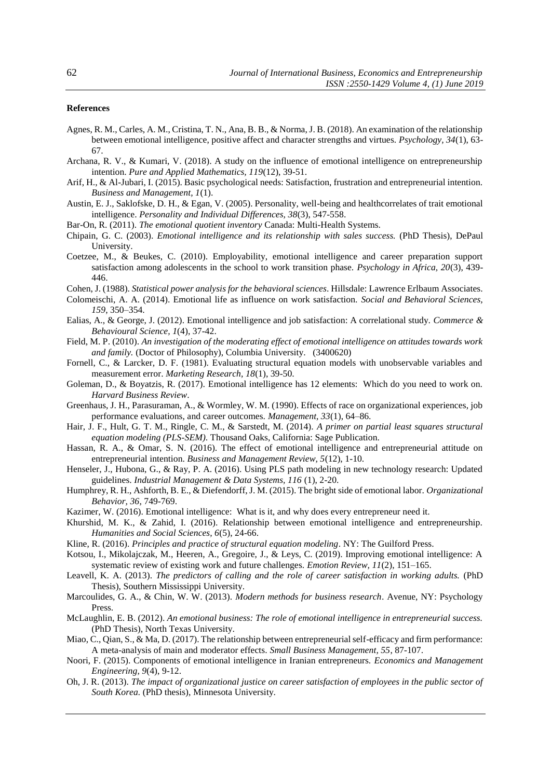## **References**

- <span id="page-7-17"></span>Agnes, R. M., Carles, A. M., Cristina, T. N., Ana, B. B., & Norma, J. B. (2018). An examination of the relationship between emotional intelligence, positive affect and character strengths and virtues. *Psychology, 34*(1), 63- 67.
- <span id="page-7-27"></span>Archana, R. V., & Kumari, V. (2018). A study on the influence of emotional intelligence on entrepreneurship intention. *Pure and Applied Mathematics, 119*(12), 39-51.
- <span id="page-7-12"></span>Arif, H., & Al-Jubari, I. (2015). Basic psychological needs: Satisfaction, frustration and entrepreneurial intention. *Business and Management, 1*(1).
- <span id="page-7-7"></span>Austin, E. J., Saklofske, D. H., & Egan, V. (2005). Personality, well-being and healthcorrelates of trait emotional intelligence. *Personality and Individual Differences, 38*(3), 547-558.
- <span id="page-7-6"></span>Bar-On, R. (2011). *The emotional quotient inventory* Canada: Multi-Health Systems.
- <span id="page-7-0"></span>Chipain, G. C. (2003). *Emotional intelligence and its relationship with sales success.* (PhD Thesis), DePaul University.
- <span id="page-7-15"></span>Coetzee, M., & Beukes, C. (2010). Employability, emotional intelligence and career preparation support satisfaction among adolescents in the school to work transition phase. *Psychology in Africa, 20*(3), 439- 446.
- <span id="page-7-24"></span>Cohen, J. (1988). *Statistical power analysis for the behavioral sciences*. Hillsdale: Lawrence Erlbaum Associates.
- <span id="page-7-14"></span>Colomeischi, A. A. (2014). Emotional life as influence on work satisfaction. *Social and Behavioral Sciences, 159*, 350–354.
- <span id="page-7-2"></span>Ealias, A., & George, J. (2012). Emotional intelligence and job satisfaction: A correlational study. *Commerce & Behavioural Science, 1*(4), 37-42.
- <span id="page-7-1"></span>Field, M. P. (2010). *An investigation of the moderating effect of emotional intelligence on attitudes towards work and family.* (Doctor of Philosophy), Columbia University. (3400620)
- <span id="page-7-22"></span>Fornell, C., & Larcker, D. F. (1981). Evaluating structural equation models with unobservable variables and measurement error. *Marketing Research, 18*(1), 39-50.
- <span id="page-7-9"></span>Goleman, D., & Boyatzis, R. (2017). Emotional intelligence has 12 elements: Which do you need to work on. *Harvard Business Review*.
- <span id="page-7-18"></span>Greenhaus, J. H., Parasuraman, A., & Wormley, W. M. (1990). Effects of race on organizational experiences, job performance evaluations, and career outcomes. *Management, 33*(1), 64–86.
- <span id="page-7-19"></span>Hair, J. F., Hult, G. T. M., Ringle, C. M., & Sarstedt, M. (2014). *A primer on partial least squares structural equation modeling (PLS-SEM)*. Thousand Oaks, California: Sage Publication.
- <span id="page-7-16"></span>Hassan, R. A., & Omar, S. N. (2016). The effect of emotional intelligence and entrepreneurial attitude on entrepreneurial intention. *Business and Management Review, 5*(12), 1-10.
- <span id="page-7-20"></span>Henseler, J., Hubona, G., & Ray, P. A. (2016). Using PLS path modeling in new technology research: Updated guidelines. *Industrial Management & Data Systems, 116* (1), 2-20.
- <span id="page-7-25"></span>Humphrey, R. H., Ashforth, B. E., & Diefendorff, J. M. (2015). The bright side of emotional labor. *Organizational Behavior, 36*, 749-769.
- <span id="page-7-3"></span>Kazimer, W. (2016). Emotional intelligence: What is it, and why does every entrepreneur need it.
- <span id="page-7-4"></span>Khurshid, M. K., & Zahid, I. (2016). Relationship between emotional intelligence and entrepreneurship. *Humanities and Social Sciences, 6*(5), 24-66.
- <span id="page-7-23"></span>Kline, R. (2016). *Principles and practice of structural equation modeling*. NY: The Guilford Press.
- <span id="page-7-10"></span>Kotsou, I., Mikolajczak, M., Heeren, A., Gregoire, J., & Leys, C. (2019). Improving emotional intelligence: A systematic review of existing work and future challenges. *Emotion Review, 11*(2), 151–165.
- <span id="page-7-13"></span>Leavell, K. A. (2013). *The predictors of calling and the role of career satisfaction in working adults.* (PhD Thesis), Southern Mississippi University.
- <span id="page-7-21"></span>Marcoulides, G. A., & Chin, W. W. (2013). *Modern methods for business research*. Avenue, NY: Psychology Press.
- <span id="page-7-8"></span>McLaughlin, E. B. (2012). *An emotional business: The role of emotional intelligence in entrepreneurial success.* (PhD Thesis), North Texas University.
- <span id="page-7-26"></span>Miao, C., Qian, S., & Ma, D. (2017). The relationship between entrepreneurial self-efficacy and firm performance: A meta-analysis of main and moderator effects. *Small Business Management, 55*, 87-107.
- <span id="page-7-5"></span>Noori, F. (2015). Components of emotional intelligence in Iranian entrepreneurs. *Economics and Management Engineering, 9*(4), 9-12.
- <span id="page-7-11"></span>Oh, J. R. (2013). *The impact of organizational justice on career satisfaction of employees in the public sector of South Korea.* (PhD thesis), Minnesota University.